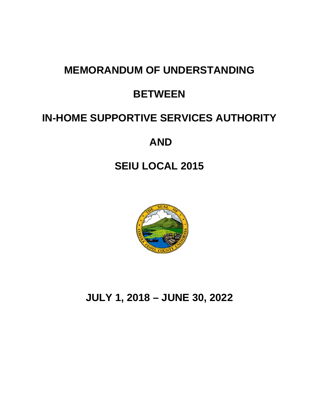# **MEMORANDUM OF UNDERSTANDING**

# **BETWEEN**

# **IN-HOME SUPPORTIVE SERVICES AUTHORITY**

# **AND**

# **SEIU LOCAL 2015**



**JULY 1, 2018 – JUNE 30, 2022**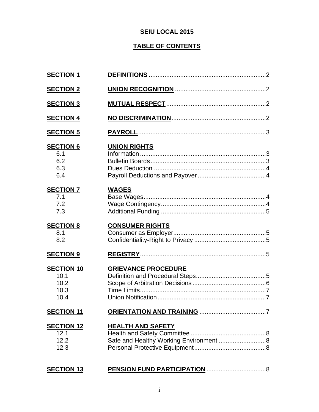## **SEIU LOCAL 2015**

# **TABLE OF CONTENTS**

| <b>SECTION 1</b>                                  |                                                                    |
|---------------------------------------------------|--------------------------------------------------------------------|
| <b>SECTION 2</b>                                  |                                                                    |
| <b>SECTION 3</b>                                  |                                                                    |
| <b>SECTION 4</b>                                  |                                                                    |
| <b>SECTION 5</b>                                  |                                                                    |
| <b>SECTION 6</b><br>6.1<br>6.2<br>6.3<br>6.4      | <b>UNION RIGHTS</b>                                                |
| <b>SECTION 7</b><br>7.1<br>7.2<br>7.3             | <b>WAGES</b>                                                       |
| <b>SECTION 8</b><br>8.1<br>8.2                    | <b>CONSUMER RIGHTS</b>                                             |
| <b>SECTION 9</b>                                  |                                                                    |
| <b>SECTION 10</b><br>10.1<br>10.2<br>10.3<br>10.4 | <b>GRIEVANCE PROCEDURE</b>                                         |
| <b>SECTION 11</b>                                 |                                                                    |
| <b>SECTION 12</b><br>12.1<br>12.2<br>12.3         | <b>HEALTH AND SAFETY</b><br>Safe and Healthy Working Environment 8 |
| <b>SECTION 13</b>                                 |                                                                    |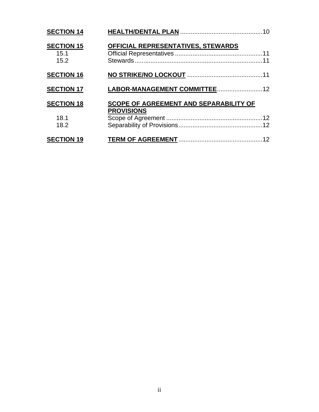| <b>SECTION 14</b>                 |                                                             |  |
|-----------------------------------|-------------------------------------------------------------|--|
| <b>SECTION 15</b><br>15.1<br>15.2 | OFFICIAL REPRESENTATIVES, STEWARDS                          |  |
| <b>SECTION 16</b>                 |                                                             |  |
| <b>SECTION 17</b>                 |                                                             |  |
| <b>SECTION 18</b><br>18.1<br>18.2 | SCOPE OF AGREEMENT AND SEPARABILITY OF<br><b>PROVISIONS</b> |  |
| <b>SECTION 19</b>                 |                                                             |  |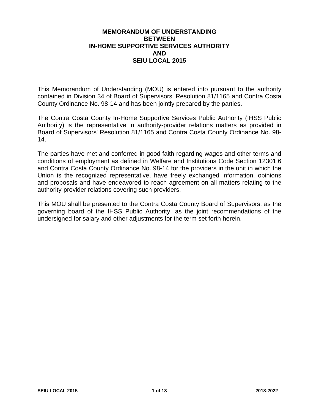### **MEMORANDUM OF UNDERSTANDING BETWEEN IN-HOME SUPPORTIVE SERVICES AUTHORITY AND SEIU LOCAL 2015**

This Memorandum of Understanding (MOU) is entered into pursuant to the authority contained in Division 34 of Board of Supervisors' Resolution 81/1165 and Contra Costa County Ordinance No. 98-14 and has been jointly prepared by the parties.

The Contra Costa County In-Home Supportive Services Public Authority (IHSS Public Authority) is the representative in authority-provider relations matters as provided in Board of Supervisors' Resolution 81/1165 and Contra Costa County Ordinance No. 98- 14.

The parties have met and conferred in good faith regarding wages and other terms and conditions of employment as defined in Welfare and Institutions Code Section 12301.6 and Contra Costa County Ordinance No. 98-14 for the providers in the unit in which the Union is the recognized representative, have freely exchanged information, opinions and proposals and have endeavored to reach agreement on all matters relating to the authority-provider relations covering such providers.

This MOU shall be presented to the Contra Costa County Board of Supervisors, as the governing board of the IHSS Public Authority, as the joint recommendations of the undersigned for salary and other adjustments for the term set forth herein.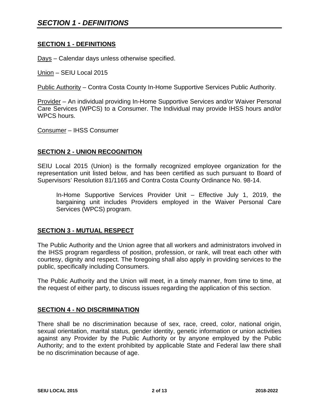### **SECTION 1 - DEFINITIONS**

Days – Calendar days unless otherwise specified.

Union – SEIU Local 2015

Public Authority – Contra Costa County In-Home Supportive Services Public Authority.

Provider – An individual providing In-Home Supportive Services and/or Waiver Personal Care Services (WPCS) to a Consumer. The Individual may provide IHSS hours and/or WPCS hours.

Consumer – IHSS Consumer

### **SECTION 2 - UNION RECOGNITION**

SEIU Local 2015 (Union) is the formally recognized employee organization for the representation unit listed below, and has been certified as such pursuant to Board of Supervisors' Resolution 81/1165 and Contra Costa County Ordinance No. 98-14.

In-Home Supportive Services Provider Unit – Effective July 1, 2019, the bargaining unit includes Providers employed in the Waiver Personal Care Services (WPCS) program.

#### **SECTION 3 - MUTUAL RESPECT**

The Public Authority and the Union agree that all workers and administrators involved in the IHSS program regardless of position, profession, or rank, will treat each other with courtesy, dignity and respect. The foregoing shall also apply in providing services to the public, specifically including Consumers.

The Public Authority and the Union will meet, in a timely manner, from time to time, at the request of either party, to discuss issues regarding the application of this section.

#### **SECTION 4 - NO DISCRIMINATION**

There shall be no discrimination because of sex, race, creed, color, national origin, sexual orientation, marital status, gender identity, genetic information or union activities against any Provider by the Public Authority or by anyone employed by the Public Authority; and to the extent prohibited by applicable State and Federal law there shall be no discrimination because of age.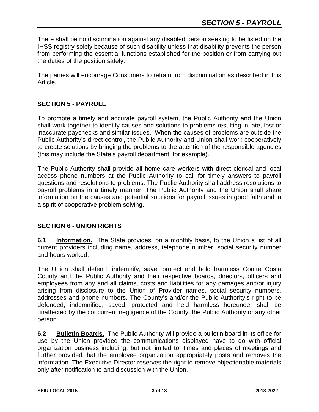There shall be no discrimination against any disabled person seeking to be listed on the IHSS registry solely because of such disability unless that disability prevents the person from performing the essential functions established for the position or from carrying out the duties of the position safely.

The parties will encourage Consumers to refrain from discrimination as described in this Article.

## **SECTION 5 - PAYROLL**

To promote a timely and accurate payroll system, the Public Authority and the Union shall work together to identify causes and solutions to problems resulting in late, lost or inaccurate paychecks and similar issues. When the causes of problems are outside the Public Authority's direct control, the Public Authority and Union shall work cooperatively to create solutions by bringing the problems to the attention of the responsible agencies (this may include the State's payroll department, for example).

The Public Authority shall provide all home care workers with direct clerical and local access phone numbers at the Public Authority to call for timely answers to payroll questions and resolutions to problems. The Public Authority shall address resolutions to payroll problems in a timely manner. The Public Authority and the Union shall share information on the causes and potential solutions for payroll issues in good faith and in a spirit of cooperative problem solving.

## **SECTION 6 - UNION RIGHTS**

**6.1 Information.** The State provides, on a monthly basis, to the Union a list of all current providers including name, address, telephone number, social security number and hours worked.

The Union shall defend, indemnify, save, protect and hold harmless Contra Costa County and the Public Authority and their respective boards, directors, officers and employees from any and all claims, costs and liabilities for any damages and/or injury arising from disclosure to the Union of Provider names, social security numbers, addresses and phone numbers. The County's and/or the Public Authority's right to be defended, indemnified, saved, protected and held harmless hereunder shall be unaffected by the concurrent negligence of the County, the Public Authority or any other person.

**6.2 Bulletin Boards.** The Public Authority will provide a bulletin board in its office for use by the Union provided the communications displayed have to do with official organization business including, but not limited to, times and places of meetings and further provided that the employee organization appropriately posts and removes the information. The Executive Director reserves the right to remove objectionable materials only after notification to and discussion with the Union.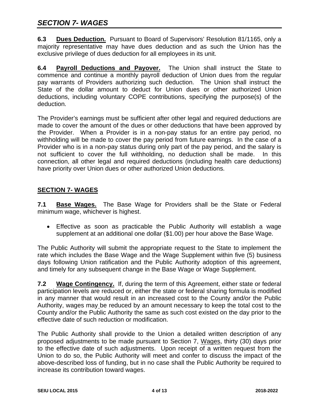**6.3 Dues Deduction.** Pursuant to Board of Supervisors' Resolution 81/1165, only a majority representative may have dues deduction and as such the Union has the exclusive privilege of dues deduction for all employees in its unit.

**6.4 Payroll Deductions and Payover.** The Union shall instruct the State to commence and continue a monthly payroll deduction of Union dues from the regular pay warrants of Providers authorizing such deduction. The Union shall instruct the State of the dollar amount to deduct for Union dues or other authorized Union deductions, including voluntary COPE contributions, specifying the purpose(s) of the deduction.

The Provider's earnings must be sufficient after other legal and required deductions are made to cover the amount of the dues or other deductions that have been approved by the Provider. When a Provider is in a non-pay status for an entire pay period, no withholding will be made to cover the pay period from future earnings. In the case of a Provider who is in a non-pay status during only part of the pay period, and the salary is not sufficient to cover the full withholding, no deduction shall be made. In this connection, all other legal and required deductions (including health care deductions) have priority over Union dues or other authorized Union deductions.

## **SECTION 7- WAGES**

**7.1 Base Wages.** The Base Wage for Providers shall be the State or Federal minimum wage, whichever is highest.

• Effective as soon as practicable the Public Authority will establish a wage supplement at an additional one dollar (\$1.00) per hour above the Base Wage.

The Public Authority will submit the appropriate request to the State to implement the rate which includes the Base Wage and the Wage Supplement within five (5) business days following Union ratification and the Public Authority adoption of this agreement, and timely for any subsequent change in the Base Wage or Wage Supplement.

**7.2 Wage Contingency.** If, during the term of this Agreement, either state or federal participation levels are reduced or, either the state or federal sharing formula is modified in any manner that would result in an increased cost to the County and/or the Public Authority, wages may be reduced by an amount necessary to keep the total cost to the County and/or the Public Authority the same as such cost existed on the day prior to the effective date of such reduction or modification.

The Public Authority shall provide to the Union a detailed written description of any proposed adjustments to be made pursuant to Section 7, Wages, thirty (30) days prior to the effective date of such adjustments. Upon receipt of a written request from the Union to do so, the Public Authority will meet and confer to discuss the impact of the above-described loss of funding, but in no case shall the Public Authority be required to increase its contribution toward wages.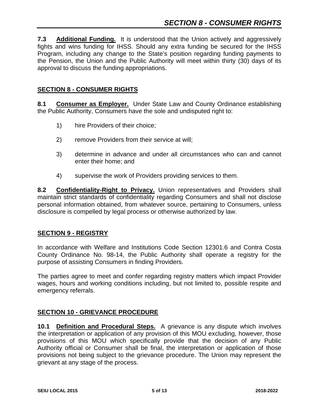**7.3 Additional Funding.** It is understood that the Union actively and aggressively fights and wins funding for IHSS. Should any extra funding be secured for the IHSS Program, including any change to the State's position regarding funding payments to the Pension, the Union and the Public Authority will meet within thirty (30) days of its approval to discuss the funding appropriations.

## **SECTION 8 - CONSUMER RIGHTS**

**8.1 Consumer as Employer.** Under State Law and County Ordinance establishing the Public Authority, Consumers have the sole and undisputed right to:

- 1) hire Providers of their choice;
- 2) remove Providers from their service at will;
- 3) determine in advance and under all circumstances who can and cannot enter their home; and
- 4) supervise the work of Providers providing services to them.

8.2 Confidentiality-Right to Privacy. Union representatives and Providers shall maintain strict standards of confidentiality regarding Consumers and shall not disclose personal information obtained, from whatever source, pertaining to Consumers, unless disclosure is compelled by legal process or otherwise authorized by law.

## **SECTION 9 - REGISTRY**

In accordance with Welfare and Institutions Code Section 12301.6 and Contra Costa County Ordinance No. 98-14, the Public Authority shall operate a registry for the purpose of assisting Consumers in finding Providers.

The parties agree to meet and confer regarding registry matters which impact Provider wages, hours and working conditions including, but not limited to, possible respite and emergency referrals.

## **SECTION 10 - GRIEVANCE PROCEDURE**

**10.1 Definition and Procedural Steps.** A grievance is any dispute which involves the interpretation or application of any provision of this MOU excluding, however, those provisions of this MOU which specifically provide that the decision of any Public Authority official or Consumer shall be final, the interpretation or application of those provisions not being subject to the grievance procedure. The Union may represent the grievant at any stage of the process.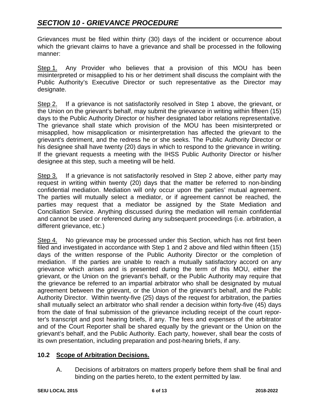Grievances must be filed within thirty (30) days of the incident or occurrence about which the grievant claims to have a grievance and shall be processed in the following manner:

Step 1. Any Provider who believes that a provision of this MOU has been misinterpreted or misapplied to his or her detriment shall discuss the complaint with the Public Authority's Executive Director or such representative as the Director may designate.

Step 2. If a grievance is not satisfactorily resolved in Step 1 above, the grievant, or the Union on the grievant's behalf, may submit the grievance in writing within fifteen (15) days to the Public Authority Director or his/her designated labor relations representative. The grievance shall state which provision of the MOU has been misinterpreted or misapplied, how misapplication or misinterpretation has affected the grievant to the grievant's detriment, and the redress he or she seeks. The Public Authority Director or his designee shall have twenty (20) days in which to respond to the grievance in writing. If the grievant requests a meeting with the IHSS Public Authority Director or his/her designee at this step, such a meeting will be held.

Step 3. If a grievance is not satisfactorily resolved in Step 2 above, either party may request in writing within twenty (20) days that the matter be referred to non-binding confidential mediation. Mediation will only occur upon the parties' mutual agreement. The parties will mutually select a mediator, or if agreement cannot be reached, the parties may request that a mediator be assigned by the State Mediation and Conciliation Service. Anything discussed during the mediation will remain confidential and cannot be used or referenced during any subsequent proceedings (i.e. arbitration, a different grievance, etc.)

Step 4. No grievance may be processed under this Section, which has not first been filed and investigated in accordance with Step 1 and 2 above and filed within fifteen (15) days of the written response of the Public Authority Director or the completion of mediation. If the parties are unable to reach a mutually satisfactory accord on any grievance which arises and is presented during the term of this MOU, either the grievant, or the Union on the grievant's behalf, or the Public Authority may require that the grievance be referred to an impartial arbitrator who shall be designated by mutual agreement between the grievant, or the Union of the grievant's behalf, and the Public Authority Director. Within twenty-five (25) days of the request for arbitration, the parties shall mutually select an arbitrator who shall render a decision within forty-five (45) days from the date of final submission of the grievance including receipt of the court reporter's transcript and post hearing briefs, if any. The fees and expenses of the arbitrator and of the Court Reporter shall be shared equally by the grievant or the Union on the grievant's behalf, and the Public Authority. Each party, however, shall bear the costs of its own presentation, including preparation and post-hearing briefs, if any.

## **10.2 Scope of Arbitration Decisions.**

A. Decisions of arbitrators on matters properly before them shall be final and binding on the parties hereto, to the extent permitted by law.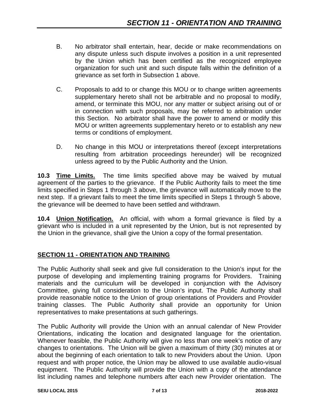- B. No arbitrator shall entertain, hear, decide or make recommendations on any dispute unless such dispute involves a position in a unit represented by the Union which has been certified as the recognized employee organization for such unit and such dispute falls within the definition of a grievance as set forth in Subsection 1 above.
- C. Proposals to add to or change this MOU or to change written agreements supplementary hereto shall not be arbitrable and no proposal to modify, amend, or terminate this MOU, nor any matter or subject arising out of or in connection with such proposals, may be referred to arbitration under this Section. No arbitrator shall have the power to amend or modify this MOU or written agreements supplementary hereto or to establish any new terms or conditions of employment.
- D. No change in this MOU or interpretations thereof (except interpretations resulting from arbitration proceedings hereunder) will be recognized unless agreed to by the Public Authority and the Union.

**10.3 Time Limits.** The time limits specified above may be waived by mutual agreement of the parties to the grievance. If the Public Authority fails to meet the time limits specified in Steps 1 through 3 above, the grievance will automatically move to the next step. If a grievant fails to meet the time limits specified in Steps 1 through 5 above, the grievance will be deemed to have been settled and withdrawn.

**10.4 Union Notification.** An official, with whom a formal grievance is filed by a grievant who is included in a unit represented by the Union, but is not represented by the Union in the grievance, shall give the Union a copy of the formal presentation.

# **SECTION 11 - ORIENTATION AND TRAINING**

The Public Authority shall seek and give full consideration to the Union's input for the purpose of developing and implementing training programs for Providers. Training materials and the curriculum will be developed in conjunction with the Advisory Committee, giving full consideration to the Union's input. The Public Authority shall provide reasonable notice to the Union of group orientations of Providers and Provider training classes. The Public Authority shall provide an opportunity for Union representatives to make presentations at such gatherings.

The Public Authority will provide the Union with an annual calendar of New Provider Orientations, indicating the location and designated language for the orientation. Whenever feasible, the Public Authority will give no less than one week's notice of any changes to orientations. The Union will be given a maximum of thirty (30) minutes at or about the beginning of each orientation to talk to new Providers about the Union. Upon request and with proper notice, the Union may be allowed to use available audio-visual equipment. The Public Authority will provide the Union with a copy of the attendance list including names and telephone numbers after each new Provider orientation. The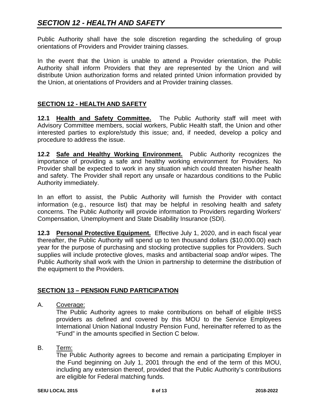Public Authority shall have the sole discretion regarding the scheduling of group orientations of Providers and Provider training classes.

In the event that the Union is unable to attend a Provider orientation, the Public Authority shall inform Providers that they are represented by the Union and will distribute Union authorization forms and related printed Union information provided by the Union, at orientations of Providers and at Provider training classes.

## **SECTION 12 - HEALTH AND SAFETY**

**12.1 Health and Safety Committee.** The Public Authority staff will meet with Advisory Committee members, social workers, Public Health staff, the Union and other interested parties to explore/study this issue; and, if needed, develop a policy and procedure to address the issue.

**12.2 Safe and Healthy Working Environment.** Public Authority recognizes the importance of providing a safe and healthy working environment for Providers. No Provider shall be expected to work in any situation which could threaten his/her health and safety. The Provider shall report any unsafe or hazardous conditions to the Public Authority immediately.

In an effort to assist, the Public Authority will furnish the Provider with contact information (e.g., resource list) that may be helpful in resolving health and safety concerns. The Public Authority will provide information to Providers regarding Workers' Compensation, Unemployment and State Disability Insurance (SDI).

**12.3 Personal Protective Equipment.** Effective July 1, 2020, and in each fiscal year thereafter, the Public Authority will spend up to ten thousand dollars (\$10,000.00) each year for the purpose of purchasing and stocking protective supplies for Providers. Such supplies will include protective gloves, masks and antibacterial soap and/or wipes. The Public Authority shall work with the Union in partnership to determine the distribution of the equipment to the Providers.

## **SECTION 13 – PENSION FUND PARTICIPATION**

A. Coverage:

The Public Authority agrees to make contributions on behalf of eligible IHSS providers as defined and covered by this MOU to the Service Employees International Union National Industry Pension Fund, hereinafter referred to as the "Fund" in the amounts specified in Section C below.

#### B. Term:

The Public Authority agrees to become and remain a participating Employer in the Fund beginning on July 1, 2001 through the end of the term of this MOU, including any extension thereof, provided that the Public Authority's contributions are eligible for Federal matching funds.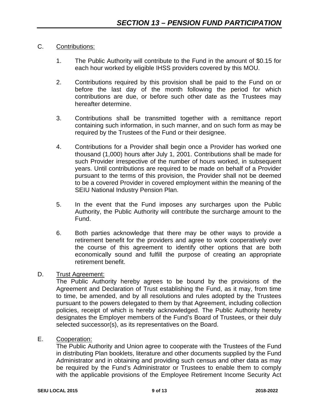## C. Contributions:

- 1. The Public Authority will contribute to the Fund in the amount of \$0.15 for each hour worked by eligible IHSS providers covered by this MOU.
- 2. Contributions required by this provision shall be paid to the Fund on or before the last day of the month following the period for which contributions are due, or before such other date as the Trustees may hereafter determine.
- 3. Contributions shall be transmitted together with a remittance report containing such information, in such manner, and on such form as may be required by the Trustees of the Fund or their designee.
- 4. Contributions for a Provider shall begin once a Provider has worked one thousand (1,000) hours after July 1, 2001. Contributions shall be made for such Provider irrespective of the number of hours worked, in subsequent years. Until contributions are required to be made on behalf of a Provider pursuant to the terms of this provision, the Provider shall not be deemed to be a covered Provider in covered employment within the meaning of the SEIU National Industry Pension Plan.
- 5. In the event that the Fund imposes any surcharges upon the Public Authority, the Public Authority will contribute the surcharge amount to the Fund.
- 6. Both parties acknowledge that there may be other ways to provide a retirement benefit for the providers and agree to work cooperatively over the course of this agreement to identify other options that are both economically sound and fulfill the purpose of creating an appropriate retirement benefit.

## D. Trust Agreement:

The Public Authority hereby agrees to be bound by the provisions of the Agreement and Declaration of Trust establishing the Fund, as it may, from time to time, be amended, and by all resolutions and rules adopted by the Trustees pursuant to the powers delegated to them by that Agreement, including collection policies, receipt of which is hereby acknowledged. The Public Authority hereby designates the Employer members of the Fund's Board of Trustees, or their duly selected successor(s), as its representatives on the Board.

E. Cooperation:

The Public Authority and Union agree to cooperate with the Trustees of the Fund in distributing Plan booklets, literature and other documents supplied by the Fund Administrator and in obtaining and providing such census and other data as may be required by the Fund's Administrator or Trustees to enable them to comply with the applicable provisions of the Employee Retirement Income Security Act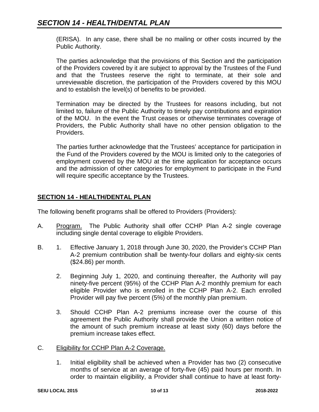(ERISA). In any case, there shall be no mailing or other costs incurred by the Public Authority.

The parties acknowledge that the provisions of this Section and the participation of the Providers covered by it are subject to approval by the Trustees of the Fund and that the Trustees reserve the right to terminate, at their sole and unreviewable discretion, the participation of the Providers covered by this MOU and to establish the level(s) of benefits to be provided.

Termination may be directed by the Trustees for reasons including, but not limited to, failure of the Public Authority to timely pay contributions and expiration of the MOU. In the event the Trust ceases or otherwise terminates coverage of Providers, the Public Authority shall have no other pension obligation to the Providers.

The parties further acknowledge that the Trustees' acceptance for participation in the Fund of the Providers covered by the MOU is limited only to the categories of employment covered by the MOU at the time application for acceptance occurs and the admission of other categories for employment to participate in the Fund will require specific acceptance by the Trustees.

## **SECTION 14 - HEALTH/DENTAL PLAN**

The following benefit programs shall be offered to Providers (Providers):

- A. Program. The Public Authority shall offer CCHP Plan A-2 single coverage including single dental coverage to eligible Providers.
- B. 1. Effective January 1, 2018 through June 30, 2020, the Provider's CCHP Plan A-2 premium contribution shall be twenty-four dollars and eighty-six cents (\$24.86) per month.
	- 2. Beginning July 1, 2020, and continuing thereafter, the Authority will pay ninety-five percent (95%) of the CCHP Plan A-2 monthly premium for each eligible Provider who is enrolled in the CCHP Plan A-2. Each enrolled Provider will pay five percent (5%) of the monthly plan premium.
	- 3. Should CCHP Plan A-2 premiums increase over the course of this agreement the Public Authority shall provide the Union a written notice of the amount of such premium increase at least sixty (60) days before the premium increase takes effect.
- C. Eligibility for CCHP Plan A-2 Coverage.
	- 1. Initial eligibility shall be achieved when a Provider has two (2) consecutive months of service at an average of forty-five (45) paid hours per month. In order to maintain eligibility, a Provider shall continue to have at least forty-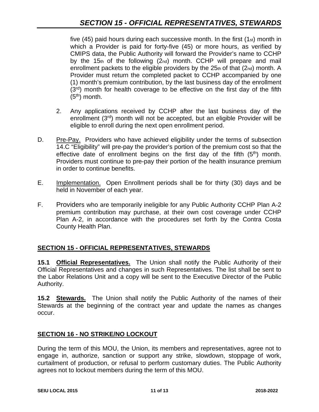five  $(45)$  paid hours during each successive month. In the first  $(1<sub>st</sub>)$  month in which a Provider is paid for forty-five (45) or more hours, as verified by CMIPS data, the Public Authority will forward the Provider's name to CCHP by the 15th of the following (2nd) month. CCHP will prepare and mail enrollment packets to the eligible providers by the  $25<sub>th</sub>$  of that  $(2<sub>nd</sub>)$  month. A Provider must return the completed packet to CCHP accompanied by one (1) month's premium contribution, by the last business day of the enrollment (3<sup>rd</sup>) month for health coverage to be effective on the first day of the fifth  $(5<sup>th</sup>)$  month.

- 2. Any applications received by CCHP after the last business day of the enrollment (3<sup>rd</sup>) month will not be accepted, but an eligible Provider will be eligible to enroll during the next open enrollment period.
- D. Pre-Pay. Providers who have achieved eligibility under the terms of subsection 14.C "Eligibility" will pre-pay the provider's portion of the premium cost so that the effective date of enrollment begins on the first day of the fifth  $(5<sup>th</sup>)$  month. Providers must continue to pre-pay their portion of the health insurance premium in order to continue benefits.
- E. Implementation. Open Enrollment periods shall be for thirty (30) days and be held in November of each year.
- F. Providers who are temporarily ineligible for any Public Authority CCHP Plan A-2 premium contribution may purchase, at their own cost coverage under CCHP Plan A-2, in accordance with the procedures set forth by the Contra Costa County Health Plan.

# **SECTION 15 - OFFICIAL REPRESENTATIVES, STEWARDS**

**15.1 Official Representatives.** The Union shall notify the Public Authority of their Official Representatives and changes in such Representatives. The list shall be sent to the Labor Relations Unit and a copy will be sent to the Executive Director of the Public Authority.

**15.2 Stewards.** The Union shall notify the Public Authority of the names of their Stewards at the beginning of the contract year and update the names as changes occur.

# **SECTION 16 - NO STRIKE/NO LOCKOUT**

During the term of this MOU, the Union, its members and representatives, agree not to engage in, authorize, sanction or support any strike, slowdown, stoppage of work, curtailment of production, or refusal to perform customary duties. The Public Authority agrees not to lockout members during the term of this MOU.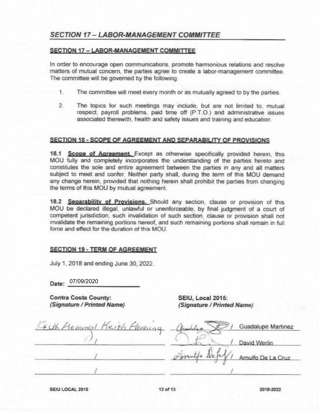# **SECTION 17 - LABOR-MANAGEMENT COMMITTEE**

#### SECTION 17 - LABOR-MANAGEMENT COMMITTEE

In order to encourage open communications, promote harmonious relations and resolve matters of mutual concern, the parties agree to create a labor-management committee. The committee will be governed by the following:

- $1$ The committee will meet every month or as mutually agreed to by the parties
- $\overline{2}$ The topics for such meetings may include, but are not limited to, mutual respect, payroll problems, paid time off (P.T.O.) and administrative issues associated therewith, health and safety issues and training and education

#### SECTION 18 - SCOPE OF AGREEMENT AND SEPARABILITY OF PROVISIONS

18.1 Scope of Agreement. Except as otherwise specifically provided herein, this MOU fully and completely incorporates the understanding of the parties hereto and constitutes the sole and entire agreement between the parties in any and all matters subject to meet and confer. Neither party shall, during the term of this MOU demand any change herein, provided that nothing herein shall prohibit the parties from changing the terms of this MOU by mutual agreement.

18.2 Separability of Provisions. Should any section, clause or provision of this MOU be declared illegal, unlawful or unenforceable, by final judgment of a court of competent jurisdiction, such invalidation of such section, clause or provision shall not invalidate the remaining portions hereof, and such remaining portions shall remain in full force and effect for the duration of this MOU

#### **SECTION 19 - TERM OF AGREEMENT**

July 1, 2018 and ending June 30, 2022.

Date: 07/09/2020

**Contra Costa County:** (Signature / Printed Name)

SEIU, Local 2015: (Signature / Printed Name)

| Ecth Hemmal Keith Henning | Guadalupe Martinez |
|---------------------------|--------------------|
|                           | David Werlin       |
|                           | Amulfo De La Cruz  |
|                           |                    |

SEIU LOCAL 2015

2018-2022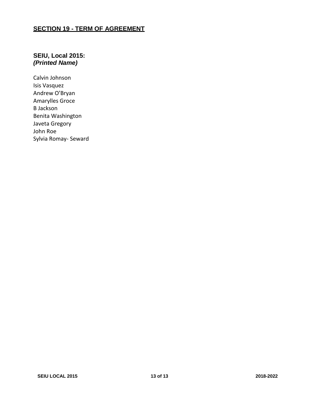## **SECTION 19 - TERM OF AGREEMENT**

## **SEIU, Local 2015:** *(Printed Name)*

Calvin Johnson Isis Vasquez Andrew O'Bryan Amarylles Groce B Jackson Benita Washington Javeta Gregory John Roe Sylvia Romay- Seward